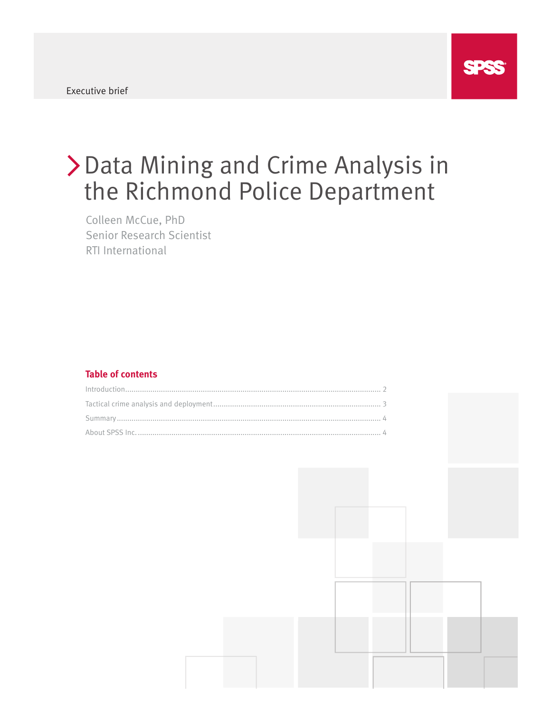

# Data Mining and Crime Analysis in the Richmond Police Department

Colleen McCue, PhD Senior Research Scientist RTI International

## **Table of contents**

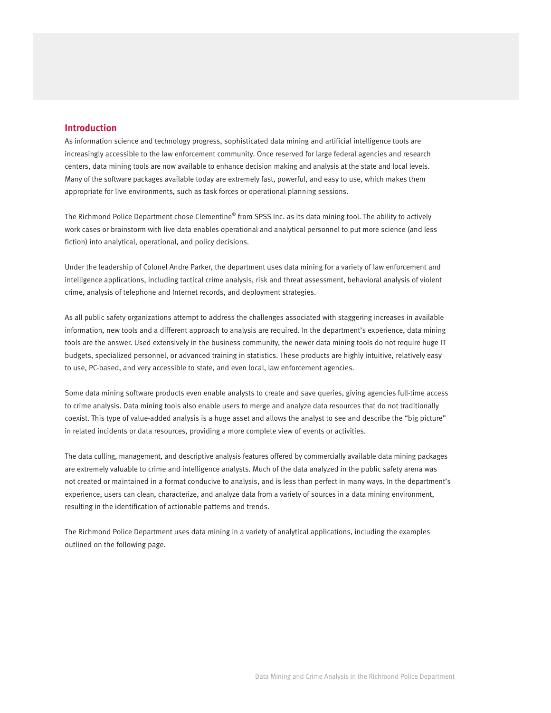## **Introduction**

As information science and technology progress, sophisticated data mining and artificial intelligence tools are increasingly accessible to the law enforcement community. Once reserved for large federal agencies and research centers, data mining tools are now available to enhance decision making and analysis at the state and local levels. Many of the software packages available today are extremely fast, powerful, and easy to use, which makes them appropriate for live environments, such as task forces or operational planning sessions.

The Richmond Police Department chose Clementine® from SPSS Inc. as its data mining tool. The ability to actively work cases or brainstorm with live data enables operational and analytical personnel to put more science (and less fiction) into analytical, operational, and policy decisions.

Under the leadership of Colonel Andre Parker, the department uses data mining for a variety of law enforcement and intelligence applications, including tactical crime analysis, risk and threat assessment, behavioral analysis of violent crime, analysis of telephone and Internet records, and deployment strategies.

As all public safety organizations attempt to address the challenges associated with staggering increases in available information, new tools and a different approach to analysis are required. In the department's experience, data mining tools are the answer. Used extensively in the business community, the newer data mining tools do not require huge IT budgets, specialized personnel, or advanced training in statistics. These products are highly intuitive, relatively easy to use, PC-based, and very accessible to state, and even local, law enforcement agencies.

Some data mining software products even enable analysts to create and save queries, giving agencies full-time access to crime analysis. Data mining tools also enable users to merge and analyze data resources that do not traditionally coexist. This type of value-added analysis is a huge asset and allows the analyst to see and describe the "big picture" in related incidents or data resources, providing a more complete view of events or activities.

The data culling, management, and descriptive analysis features offered by commercially available data mining packages are extremely valuable to crime and intelligence analysts. Much of the data analyzed in the public safety arena was not created or maintained in a format conducive to analysis, and is less than perfect in many ways. In the department's experience, users can clean, characterize, and analyze data from a variety of sources in a data mining environment, resulting in the identification of actionable patterns and trends.

The Richmond Police Department uses data mining in a variety of analytical applications, including the examples outlined on the following page.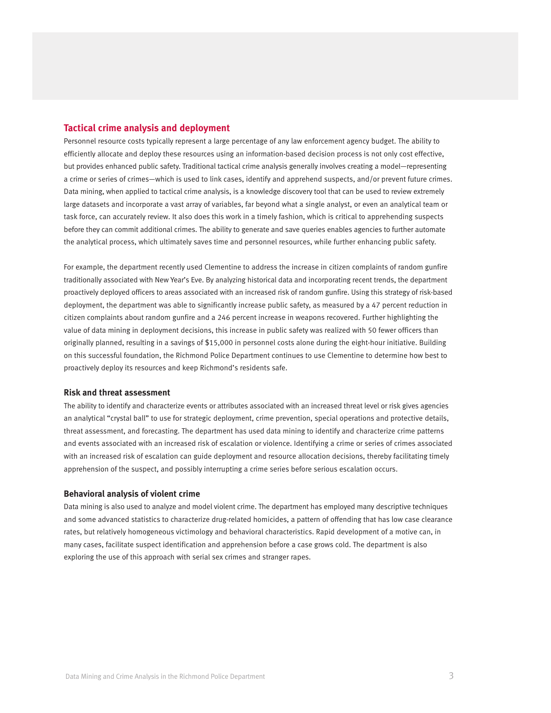## **Tactical crime analysis and deployment**

Personnel resource costs typically represent a large percentage of any law enforcement agency budget. The ability to efficiently allocate and deploy these resources using an information-based decision process is not only cost effective, but provides enhanced public safety. Traditional tactical crime analysis generally involves creating a model—representing a crime or series of crimes—which is used to link cases, identify and apprehend suspects, and/or prevent future crimes. Data mining, when applied to tactical crime analysis, is a knowledge discovery tool that can be used to review extremely large datasets and incorporate a vast array of variables, far beyond what a single analyst, or even an analytical team or task force, can accurately review. It also does this work in a timely fashion, which is critical to apprehending suspects before they can commit additional crimes. The ability to generate and save queries enables agencies to further automate the analytical process, which ultimately saves time and personnel resources, while further enhancing public safety.

For example, the department recently used Clementine to address the increase in citizen complaints of random gunfire traditionally associated with New Year's Eve. By analyzing historical data and incorporating recent trends, the department proactively deployed officers to areas associated with an increased risk of random gunfire. Using this strategy of risk-based deployment, the department was able to significantly increase public safety, as measured by a 47 percent reduction in citizen complaints about random gunfire and a 246 percent increase in weapons recovered. Further highlighting the value of data mining in deployment decisions, this increase in public safety was realized with 50 fewer officers than originally planned, resulting in a savings of \$15,000 in personnel costs alone during the eight-hour initiative. Building on this successful foundation, the Richmond Police Department continues to use Clementine to determine how best to proactively deploy its resources and keep Richmond's residents safe.

#### **Risk and threat assessment**

The ability to identify and characterize events or attributes associated with an increased threat level or risk gives agencies an analytical "crystal ball" to use for strategic deployment, crime prevention, special operations and protective details, threat assessment, and forecasting. The department has used data mining to identify and characterize crime patterns and events associated with an increased risk of escalation or violence. Identifying a crime or series of crimes associated with an increased risk of escalation can guide deployment and resource allocation decisions, thereby facilitating timely apprehension of the suspect, and possibly interrupting a crime series before serious escalation occurs.

#### **Behavioral analysis of violent crime**

Data mining is also used to analyze and model violent crime. The department has employed many descriptive techniques and some advanced statistics to characterize drug-related homicides, a pattern of offending that has low case clearance rates, but relatively homogeneous victimology and behavioral characteristics. Rapid development of a motive can, in many cases, facilitate suspect identification and apprehension before a case grows cold. The department is also exploring the use of this approach with serial sex crimes and stranger rapes.